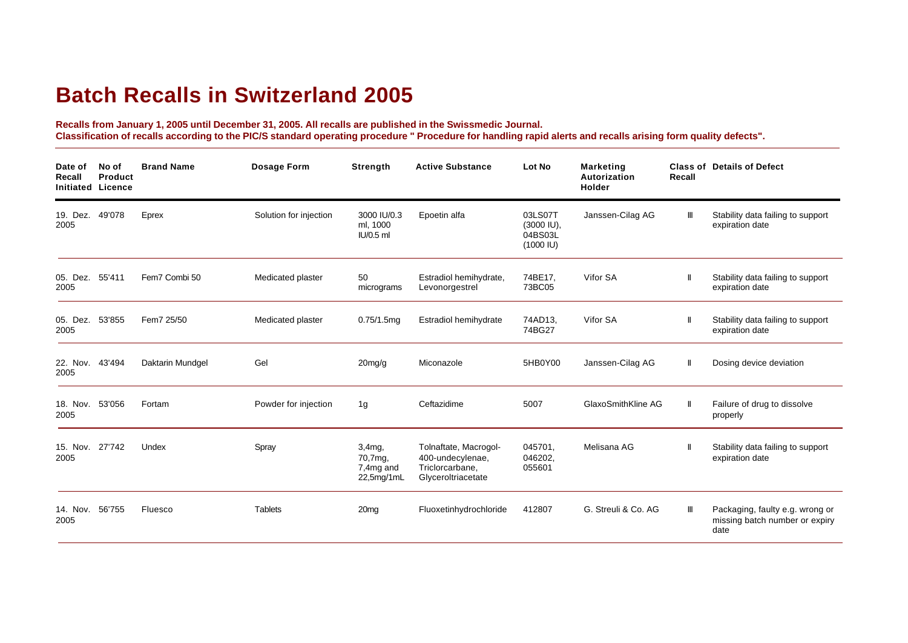## **Batch Recalls in Switzerland 2005**

**Recalls from January 1, 2005 until December 31, 2005. All recalls are published in the Swissmedic Journal. Classification of recalls according to the PIC/S standard operating procedure " Procedure for handling rapid alerts and recalls arising form quality defects".**

| Date of<br>Recall<br><b>Initiated Licence</b> | No of<br><b>Product</b> | <b>Brand Name</b> | <b>Dosage Form</b>     | <b>Strength</b>                              | <b>Active Substance</b>                                                            | Lot No                                                    | <b>Marketing</b><br>Autorization<br>Holder | Recall | <b>Class of Details of Defect</b>                                         |
|-----------------------------------------------|-------------------------|-------------------|------------------------|----------------------------------------------|------------------------------------------------------------------------------------|-----------------------------------------------------------|--------------------------------------------|--------|---------------------------------------------------------------------------|
| 19. Dez.<br>2005                              | 49'078                  | Eprex             | Solution for injection | 3000 IU/0.3<br>ml, 1000<br>IU/0.5 ml         | Epoetin alfa                                                                       | 03LS07T<br>(3000 IU),<br>04BS03L<br>$(1000 \, \text{IU})$ | Janssen-Cilag AG                           | Ш      | Stability data failing to support<br>expiration date                      |
| 05. Dez. 55'411<br>2005                       |                         | Fem7 Combi 50     | Medicated plaster      | 50<br>micrograms                             | Estradiol hemihydrate,<br>Levonorgestrel                                           | 74BE17.<br>73BC05                                         | Vifor SA                                   |        | Stability data failing to support<br>expiration date                      |
| 05. Dez.<br>2005                              | 53'855                  | Fem7 25/50        | Medicated plaster      | 0.75/1.5mg                                   | Estradiol hemihydrate                                                              | 74AD13,<br>74BG27                                         | Vifor SA                                   |        | Stability data failing to support<br>expiration date                      |
| 22. Nov.<br>2005                              | 43'494                  | Daktarin Mundgel  | Gel                    | $20$ mg/g                                    | Miconazole                                                                         | 5HB0Y00                                                   | Janssen-Cilag AG                           | Ш      | Dosing device deviation                                                   |
| 18. Nov. 53'056<br>2005                       |                         | Fortam            | Powder for injection   | 1 <sub>q</sub>                               | Ceftazidime                                                                        | 5007                                                      | GlaxoSmithKline AG                         |        | Failure of drug to dissolve<br>properly                                   |
| 15. Nov.<br>2005                              | 27'742                  | Undex             | Spray                  | 3,4mg,<br>70,7mg,<br>7,4mg and<br>22,5mg/1mL | Tolnaftate, Macrogol-<br>400-undecylenae,<br>Triclorcarbane,<br>Glyceroltriacetate | 045701.<br>046202.<br>055601                              | Melisana AG                                |        | Stability data failing to support<br>expiration date                      |
| 14. Nov. 56'755<br>2005                       |                         | Fluesco           | <b>Tablets</b>         | 20 <sub>mg</sub>                             | Fluoxetinhydrochloride                                                             | 412807                                                    | G. Streuli & Co. AG                        | Ш      | Packaging, faulty e.g. wrong or<br>missing batch number or expiry<br>date |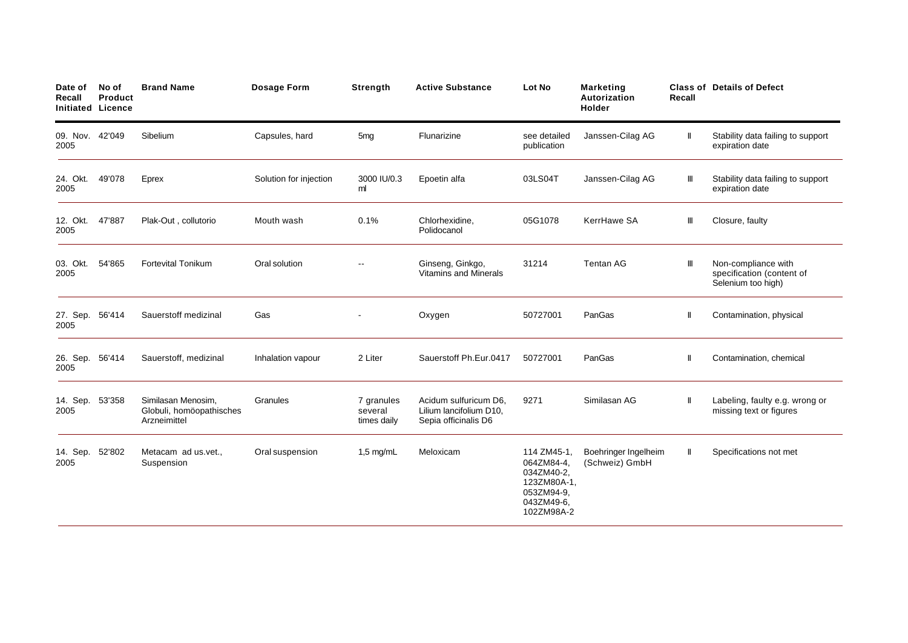| Date of<br>Recall<br><b>Initiated Licence</b> | No of<br>Product | <b>Brand Name</b>                                              | Dosage Form            | Strength                             | <b>Active Substance</b>                                                  | Lot No                                                                                          | <b>Marketing</b><br>Autorization<br>Holder | Recall       | <b>Class of Details of Defect</b>                                      |
|-----------------------------------------------|------------------|----------------------------------------------------------------|------------------------|--------------------------------------|--------------------------------------------------------------------------|-------------------------------------------------------------------------------------------------|--------------------------------------------|--------------|------------------------------------------------------------------------|
| 09. Nov. 42'049<br>2005                       |                  | Sibelium                                                       | Capsules, hard         | 5 <sub>mg</sub>                      | Flunarizine                                                              | see detailed<br>publication                                                                     | Janssen-Cilag AG                           | $\mathbf{I}$ | Stability data failing to support<br>expiration date                   |
| 24. Okt.<br>2005                              | 49'078           | Eprex                                                          | Solution for injection | 3000 IU/0.3<br>ml                    | Epoetin alfa                                                             | 03LS04T                                                                                         | Janssen-Cilag AG                           | Ш            | Stability data failing to support<br>expiration date                   |
| 12. Okt.<br>2005                              | 47'887           | Plak-Out, collutorio                                           | Mouth wash             | 0.1%                                 | Chlorhexidine,<br>Polidocanol                                            | 05G1078                                                                                         | KerrHawe SA                                | Ш            | Closure, faulty                                                        |
| 03. Okt.<br>2005                              | 54'865           | <b>Fortevital Tonikum</b>                                      | Oral solution          |                                      | Ginseng, Ginkgo,<br><b>Vitamins and Minerals</b>                         | 31214                                                                                           | <b>Tentan AG</b>                           | Ш            | Non-compliance with<br>specification (content of<br>Selenium too high) |
| 27. Sep.<br>2005                              | 56'414           | Sauerstoff medizinal                                           | Gas                    |                                      | Oxygen                                                                   | 50727001                                                                                        | PanGas                                     | Ш            | Contamination, physical                                                |
| 26. Sep.<br>2005                              | 56'414           | Sauerstoff, medizinal                                          | Inhalation vapour      | 2 Liter                              | Sauerstoff Ph.Eur.0417                                                   | 50727001                                                                                        | PanGas                                     | $\mathbf{I}$ | Contamination, chemical                                                |
| 14. Sep.<br>2005                              | 53'358           | Similasan Menosim,<br>Globuli, homöopathisches<br>Arzneimittel | Granules               | 7 granules<br>several<br>times daily | Acidum sulfuricum D6,<br>Lilium lancifolium D10,<br>Sepia officinalis D6 | 9271                                                                                            | Similasan AG                               | Ш            | Labeling, faulty e.g. wrong or<br>missing text or figures              |
| 14. Sep.<br>2005                              | 52'802           | Metacam ad us.vet.,<br>Suspension                              | Oral suspension        | $1,5$ mg/mL                          | Meloxicam                                                                | 114 ZM45-1<br>064ZM84-4,<br>034ZM40-2,<br>123ZM80A-1,<br>053ZM94-9,<br>043ZM49-6,<br>102ZM98A-2 | Boehringer Ingelheim<br>(Schweiz) GmbH     | Ш            | Specifications not met                                                 |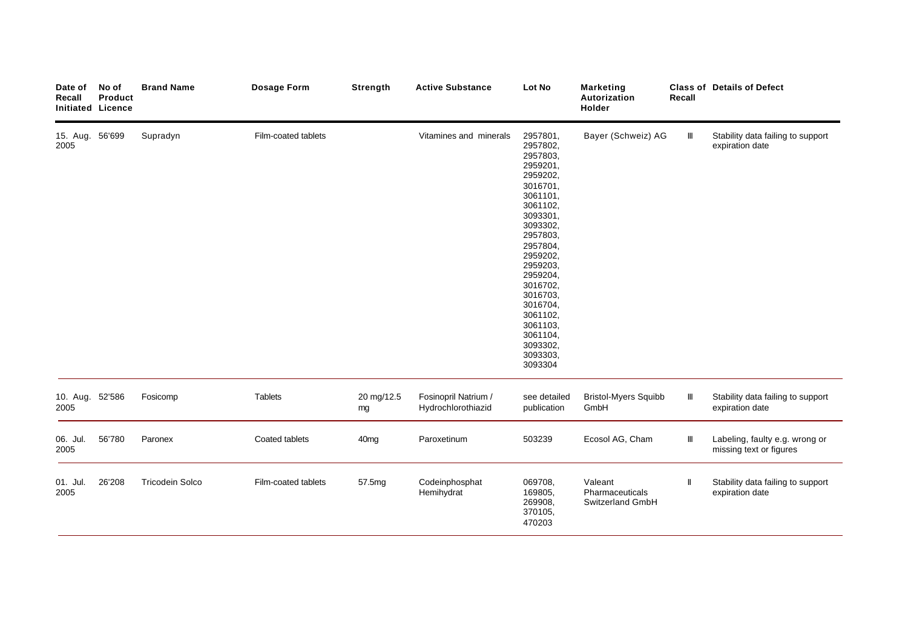| Date of<br>Recall       | No of<br>Product<br><b>Initiated Licence</b> | <b>Brand Name</b>      | <b>Dosage Form</b>  | Strength         | <b>Active Substance</b>                    | Lot No                                                                                                                                                                                                                                                                                      | <b>Marketing</b><br>Autorization<br>Holder     | Recall | <b>Class of Details of Defect</b>                         |
|-------------------------|----------------------------------------------|------------------------|---------------------|------------------|--------------------------------------------|---------------------------------------------------------------------------------------------------------------------------------------------------------------------------------------------------------------------------------------------------------------------------------------------|------------------------------------------------|--------|-----------------------------------------------------------|
| 15. Aug. 56'699<br>2005 |                                              | Supradyn               | Film-coated tablets |                  | Vitamines and minerals                     | 2957801,<br>2957802,<br>2957803,<br>2959201,<br>2959202,<br>3016701,<br>3061101,<br>3061102,<br>3093301,<br>3093302,<br>2957803,<br>2957804,<br>2959202,<br>2959203,<br>2959204,<br>3016702,<br>3016703,<br>3016704,<br>3061102,<br>3061103,<br>3061104,<br>3093302,<br>3093303,<br>3093304 | Bayer (Schweiz) AG                             | Ш      | Stability data failing to support<br>expiration date      |
| 10. Aug. 52'586<br>2005 |                                              | Fosicomp               | <b>Tablets</b>      | 20 mg/12.5<br>mg | Fosinopril Natrium /<br>Hydrochlorothiazid | see detailed<br>publication                                                                                                                                                                                                                                                                 | <b>Bristol-Myers Squibb</b><br>GmbH            | Ш      | Stability data failing to support<br>expiration date      |
| 06. Jul.<br>2005        | 56'780                                       | Paronex                | Coated tablets      | 40 <sub>mg</sub> | Paroxetinum                                | 503239                                                                                                                                                                                                                                                                                      | Ecosol AG, Cham                                | Ш      | Labeling, faulty e.g. wrong or<br>missing text or figures |
| 01. Jul.<br>2005        | 26'208                                       | <b>Tricodein Solco</b> | Film-coated tablets | 57.5mg           | Codeinphosphat<br>Hemihydrat               | 069708,<br>169805,<br>269908,<br>370105,<br>470203                                                                                                                                                                                                                                          | Valeant<br>Pharmaceuticals<br>Switzerland GmbH |        | Stability data failing to support<br>expiration date      |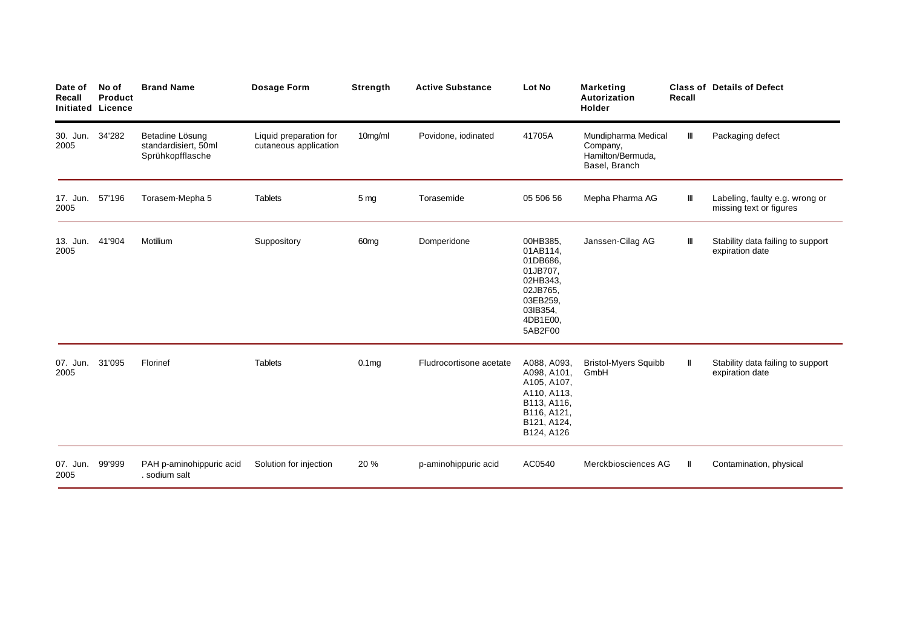| Date of<br>Recall<br><b>Initiated Licence</b> | No of<br>Product | <b>Brand Name</b>                                           | Dosage Form                                     | Strength          | <b>Active Substance</b> | Lot No                                                                                                              | <b>Marketing</b><br>Autorization<br><b>Holder</b>                     | Recall       | <b>Class of Details of Defect</b>                         |
|-----------------------------------------------|------------------|-------------------------------------------------------------|-------------------------------------------------|-------------------|-------------------------|---------------------------------------------------------------------------------------------------------------------|-----------------------------------------------------------------------|--------------|-----------------------------------------------------------|
| 30. Jun.<br>2005                              | 34'282           | Betadine Lösung<br>standardisiert, 50ml<br>Sprühkopfflasche | Liquid preparation for<br>cutaneous application | 10mg/ml           | Povidone, iodinated     | 41705A                                                                                                              | Mundipharma Medical<br>Company,<br>Hamilton/Bermuda.<br>Basel, Branch | Ш            | Packaging defect                                          |
| 17. Jun. 57'196<br>2005                       |                  | Torasem-Mepha 5                                             | <b>Tablets</b>                                  | 5 mg              | Torasemide              | 05 506 56                                                                                                           | Mepha Pharma AG                                                       | Ш            | Labeling, faulty e.g. wrong or<br>missing text or figures |
| 13. Jun. 41'904<br>2005                       |                  | Motilium                                                    | Suppository                                     | 60 <sub>mg</sub>  | Domperidone             | 00HB385.<br>01AB114,<br>01DB686,<br>01JB707,<br>02HB343,<br>02JB765,<br>03EB259,<br>03IB354,<br>4DB1E00,<br>5AB2F00 | Janssen-Cilag AG                                                      | Ш            | Stability data failing to support<br>expiration date      |
| 07. Jun.<br>2005                              | 31'095           | Florinef                                                    | <b>Tablets</b>                                  | 0.1 <sub>mg</sub> | Fludrocortisone acetate | A088, A093,<br>A098, A101,<br>A105, A107,<br>A110, A113,<br>B113, A116,<br>B116, A121,<br>B121, A124,<br>B124, A126 | <b>Bristol-Myers Squibb</b><br>GmbH                                   | Ш            | Stability data failing to support<br>expiration date      |
| 07. Jun.<br>2005                              | 99'999           | PAH p-aminohippuric acid<br>. sodium salt                   | Solution for injection                          | 20 %              | p-aminohippuric acid    | AC0540                                                                                                              | Merckbiosciences AG                                                   | $\mathbf{I}$ | Contamination, physical                                   |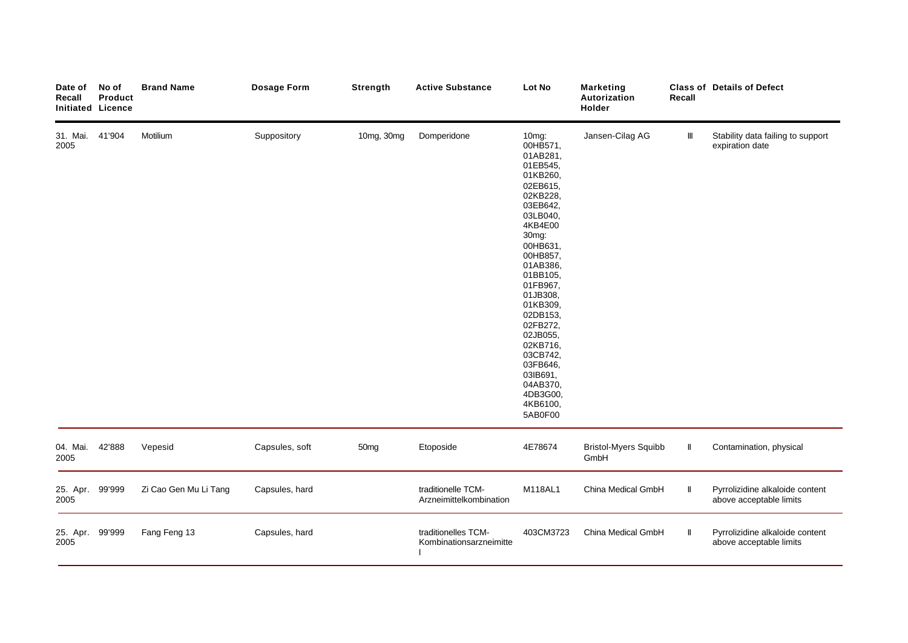| Date of<br>Recall<br><b>Initiated Licence</b> | No of<br>Product | <b>Brand Name</b>     | Dosage Form    | Strength         | <b>Active Substance</b>                        | Lot No                                                                                                                                                                                                                                                                                                                                           | <b>Marketing</b><br>Autorization<br>Holder | Recall | <b>Class of Details of Defect</b>                          |
|-----------------------------------------------|------------------|-----------------------|----------------|------------------|------------------------------------------------|--------------------------------------------------------------------------------------------------------------------------------------------------------------------------------------------------------------------------------------------------------------------------------------------------------------------------------------------------|--------------------------------------------|--------|------------------------------------------------------------|
| 31. Mai.<br>2005                              | 41'904           | Motilium              | Suppository    | 10mg, 30mg       | Domperidone                                    | 10mg:<br>00HB571,<br>01AB281,<br>01EB545,<br>01KB260,<br>02EB615,<br>02KB228,<br>03EB642,<br>03LB040,<br>4KB4E00<br>30mg:<br>00HB631,<br>00HB857,<br>01AB386,<br>01BB105,<br>01FB967,<br>01JB308,<br>01KB309,<br>02DB153,<br>02FB272,<br>02JB055,<br>02KB716,<br>03CB742,<br>03FB646,<br>03IB691,<br>04AB370,<br>4DB3G00,<br>4KB6100,<br>5AB0F00 | Jansen-Cilag AG                            | Ш      | Stability data failing to support<br>expiration date       |
| 04. Mai.<br>2005                              | 42'888           | Vepesid               | Capsules, soft | 50 <sub>mg</sub> | Etoposide                                      | 4E78674                                                                                                                                                                                                                                                                                                                                          | <b>Bristol-Myers Squibb</b><br>GmbH        | $\ $   | Contamination, physical                                    |
| 25. Apr. 99'999<br>2005                       |                  | Zi Cao Gen Mu Li Tang | Capsules, hard |                  | traditionelle TCM-<br>Arzneimittelkombination  | M118AL1                                                                                                                                                                                                                                                                                                                                          | China Medical GmbH                         | Ш      | Pyrrolizidine alkaloide content<br>above acceptable limits |
| 25. Apr. 99'999<br>2005                       |                  | Fang Feng 13          | Capsules, hard |                  | traditionelles TCM-<br>Kombinationsarzneimitte | 403CM3723                                                                                                                                                                                                                                                                                                                                        | China Medical GmbH                         | Ш      | Pyrrolizidine alkaloide content<br>above acceptable limits |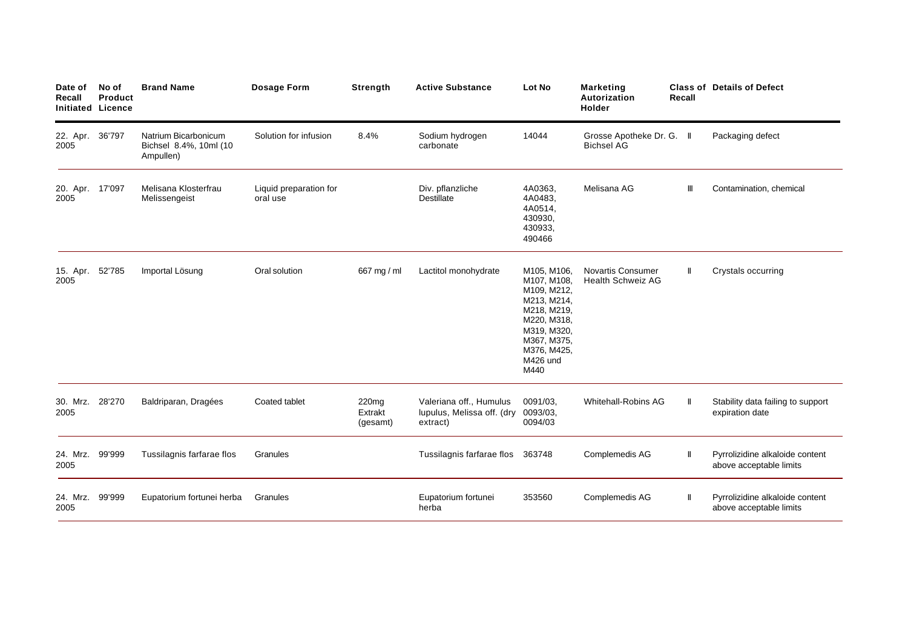| Date of<br>Recall       | No of<br>Product<br><b>Initiated Licence</b> | <b>Brand Name</b>                                           | <b>Dosage Form</b>                 | <b>Strength</b>              | <b>Active Substance</b>                                           | Lot No                                                                                                                                                  | <b>Marketing</b><br>Autorization<br><b>Holder</b>    | Recall | <b>Class of Details of Defect</b>                          |
|-------------------------|----------------------------------------------|-------------------------------------------------------------|------------------------------------|------------------------------|-------------------------------------------------------------------|---------------------------------------------------------------------------------------------------------------------------------------------------------|------------------------------------------------------|--------|------------------------------------------------------------|
| 22. Apr. 36'797<br>2005 |                                              | Natrium Bicarbonicum<br>Bichsel 8.4%, 10ml (10<br>Ampullen) | Solution for infusion              | 8.4%                         | Sodium hydrogen<br>carbonate                                      | 14044                                                                                                                                                   | Grosse Apotheke Dr. G. II<br><b>Bichsel AG</b>       |        | Packaging defect                                           |
| 20. Apr. 17'097<br>2005 |                                              | Melisana Klosterfrau<br>Melissengeist                       | Liquid preparation for<br>oral use |                              | Div. pflanzliche<br><b>Destillate</b>                             | 4A0363,<br>4A0483,<br>4A0514,<br>430930.<br>430933,<br>490466                                                                                           | Melisana AG                                          | Ш      | Contamination, chemical                                    |
| 15. Apr.<br>2005        | 52'785                                       | Importal Lösung                                             | Oral solution                      | 667 mg / ml                  | Lactitol monohydrate                                              | M105, M106,<br>M107, M108,<br>M109, M212,<br>M213, M214,<br>M218, M219,<br>M220, M318,<br>M319, M320,<br>M367, M375,<br>M376, M425,<br>M426 und<br>M440 | <b>Novartis Consumer</b><br><b>Health Schweiz AG</b> |        | Crystals occurring                                         |
| 30. Mrz.<br>2005        | 28'270                                       | Baldriparan, Dragées                                        | Coated tablet                      | 220mg<br>Extrakt<br>(gesamt) | Valeriana off., Humulus<br>lupulus, Melissa off. (dry<br>extract) | 0091/03.<br>0093/03,<br>0094/03                                                                                                                         | Whitehall-Robins AG                                  |        | Stability data failing to support<br>expiration date       |
| 24. Mrz.<br>2005        | 99'999                                       | Tussilagnis farfarae flos                                   | Granules                           |                              | Tussilagnis farfarae flos                                         | 363748                                                                                                                                                  | Complemedis AG                                       |        | Pyrrolizidine alkaloide content<br>above acceptable limits |
| 24. Mrz.<br>2005        | 99'999                                       | Eupatorium fortunei herba                                   | Granules                           |                              | Eupatorium fortunei<br>herba                                      | 353560                                                                                                                                                  | Complemedis AG                                       | Ш      | Pyrrolizidine alkaloide content<br>above acceptable limits |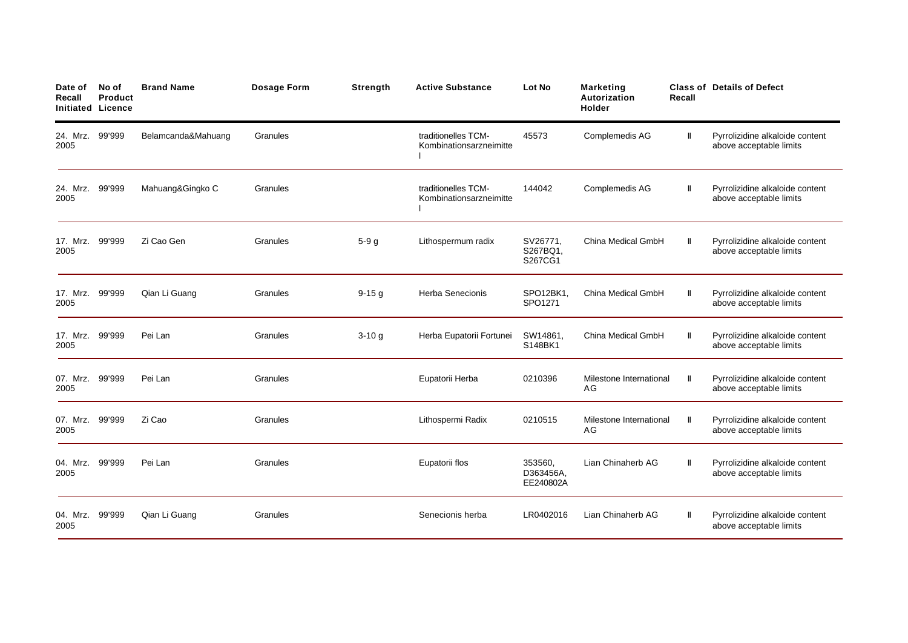| Date of<br>Recall       | No of<br><b>Product</b><br><b>Initiated Licence</b> | <b>Brand Name</b>  | Dosage Form | Strength | <b>Active Substance</b>                        | Lot No                            | <b>Marketing</b><br>Autorization<br><b>Holder</b> | Recall | <b>Class of Details of Defect</b>                          |
|-------------------------|-----------------------------------------------------|--------------------|-------------|----------|------------------------------------------------|-----------------------------------|---------------------------------------------------|--------|------------------------------------------------------------|
| 24. Mrz.<br>2005        | 99'999                                              | Belamcanda&Mahuang | Granules    |          | traditionelles TCM-<br>Kombinationsarzneimitte | 45573                             | Complemedis AG                                    | Ш      | Pyrrolizidine alkaloide content<br>above acceptable limits |
| 24. Mrz.<br>2005        | 99'999                                              | Mahuang&Gingko C   | Granules    |          | traditionelles TCM-<br>Kombinationsarzneimitte | 144042                            | Complemedis AG                                    | Ш      | Pyrrolizidine alkaloide content<br>above acceptable limits |
| 17. Mrz.<br>2005        | 99'999                                              | Zi Cao Gen         | Granules    | $5-9g$   | Lithospermum radix                             | SV26771,<br>S267BQ1,<br>S267CG1   | China Medical GmbH                                | Ш      | Pyrrolizidine alkaloide content<br>above acceptable limits |
| 17. Mrz. 99'999<br>2005 |                                                     | Qian Li Guang      | Granules    | $9-15g$  | <b>Herba Senecionis</b>                        | SPO12BK1,<br>SPO1271              | China Medical GmbH                                | Ш      | Pyrrolizidine alkaloide content<br>above acceptable limits |
| 17. Mrz. 99'999<br>2005 |                                                     | Pei Lan            | Granules    | $3-10g$  | Herba Eupatorii Fortunei                       | SW14861,<br>S148BK1               | China Medical GmbH                                |        | Pyrrolizidine alkaloide content<br>above acceptable limits |
| 07. Mrz.<br>2005        | 99'999                                              | Pei Lan            | Granules    |          | Eupatorii Herba                                | 0210396                           | Milestone International<br>AG                     | Ш      | Pyrrolizidine alkaloide content<br>above acceptable limits |
| 07. Mrz.<br>2005        | 99'999                                              | Zi Cao             | Granules    |          | Lithospermi Radix                              | 0210515                           | Milestone International<br>AG                     |        | Pyrrolizidine alkaloide content<br>above acceptable limits |
| 04. Mrz.<br>2005        | 99'999                                              | Pei Lan            | Granules    |          | Eupatorii flos                                 | 353560.<br>D363456A,<br>EE240802A | Lian Chinaherb AG                                 |        | Pyrrolizidine alkaloide content<br>above acceptable limits |
| 04. Mrz.<br>2005        | 99'999                                              | Qian Li Guang      | Granules    |          | Senecionis herba                               | LR0402016                         | Lian Chinaherb AG                                 | Ш      | Pyrrolizidine alkaloide content<br>above acceptable limits |